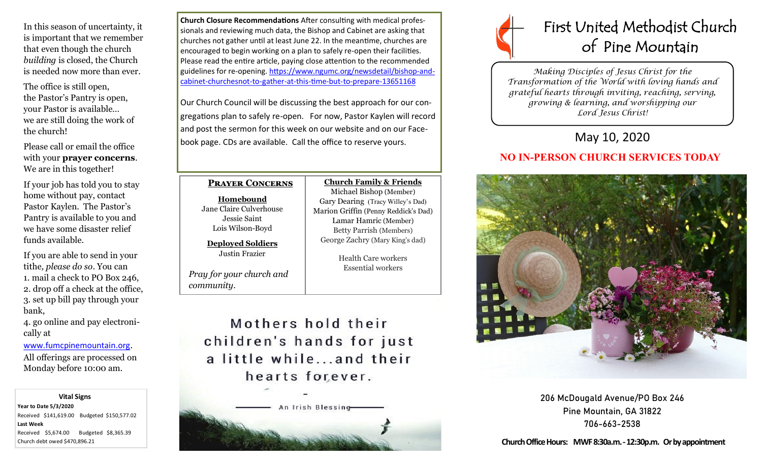In this season of uncertainty, it is important that we remember that even though the church *building* is closed, the Church is needed now more than ever.

The office is still open, the Pastor's Pantry is open, your Pastor is available… we are still doing the work of the church!

Please call or email the office with your **prayer concerns**. We are in this together!

If your job has told you to stay home without pay, contact Pastor Kaylen. The Pastor's Pantry is available to you and we have some disaster relief funds available.

If you are able to send in your tithe*, please do so*. You can 1. mail a check to PO Box 246, 2. drop off a check at the office, 3. set up bill pay through your bank,

4. go online and pay electronically at

[www.fumcpinemountain.org](http://www.fumcpinemountain.org).

All offerings are processed on Monday before 10:00 am.

 **Vital Signs Year to Date 5/3/2020**  Received \$141,619.00 Budgeted \$150,577.02 **Last Week**  Received \$5,674.00 Budgeted \$8,365.39 Church debt owed \$470,896.21

**Church Closure Recommendations** After consulting with medical professionals and reviewing much data, the Bishop and Cabinet are asking that churches not gather until at least June 22. In the meantime, churches are encouraged to begin working on a plan to safely re-open their facilities. Please read the entire article, paying close attention to the recommended guidelines for re-opening. [https://www.ngumc.org/newsdetail/bishop](https://www.ngumc.org/newsdetail/bishop-and-cabinet-churchesnot-to-gather-at-this-time-but-to-prepare-13651168)-andcabinet-[churchesnot](https://www.ngumc.org/newsdetail/bishop-and-cabinet-churchesnot-to-gather-at-this-time-but-to-prepare-13651168)-to-gather-at-this-time-but-to-prepare-13651168

Our Church Council will be discussing the best approach for our congregations plan to safely re-open. For now, Pastor Kaylen will record and post the sermon for this week on our website and on our Facebook page. CDs are available. Call the office to reserve yours.

### **Prayer Concerns**

**Homebound** Jane Claire Culverhouse Jessie Saint Lois Wilson-Boyd

**Deployed Soldiers** Justin Frazier

*Pray for your church and community*.

**Church Family & Friends** Michael Bishop (Member) Gary Dearing (Tracy Willey's Dad) Marion Griffin (Penny Reddick's Dad) Lamar Hamric (Member) Betty Parrish (Members) George Zachry (Mary King's dad)

> Health Care workers Essential workers

Mothers hold their children's hands for just a little while...and their hearts forever.





*Making Disciples of Jesus Christ for the Transformation of the World with loving hands and grateful hearts through inviting, reaching, serving, growing & learning, and worshipping our Lord Jesus Christ!* 

# May 10, 2020

# **NO IN-PERSON CHURCH SERVICES TODAY**



206 McDougald Avenue/PO Box 246 Pine Mountain, GA 31822 706-663-2538

**Church Office Hours: MWF 8:30a.m. -12:30p.m. Or by appointment**